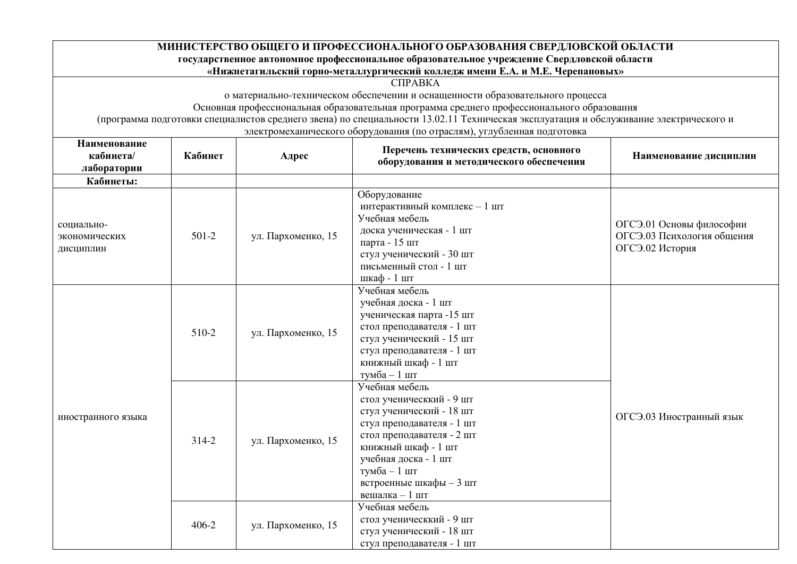| МИНИСТЕРСТВО ОБЩЕГО И ПРОФЕССИОНАЛЬНОГО ОБРАЗОВАНИЯ СВЕРДЛОВСКОЙ ОБЛАСТИ |                                                                                        |                                                |                                                                                                                                                                                                                  |                            |
|--------------------------------------------------------------------------|----------------------------------------------------------------------------------------|------------------------------------------------|------------------------------------------------------------------------------------------------------------------------------------------------------------------------------------------------------------------|----------------------------|
|                                                                          |                                                                                        |                                                | государственное автономное профессиональное образовательное учреждение Свердловской области                                                                                                                      |                            |
|                                                                          |                                                                                        |                                                | «Нижнетагильский горно-металлургический колледж имени Е.А. и М.Е. Черепановых»                                                                                                                                   |                            |
|                                                                          |                                                                                        |                                                | <b>CIIPABKA</b>                                                                                                                                                                                                  |                            |
|                                                                          |                                                                                        |                                                | о материально-техническом обеспечении и оснащенности образовательного процесса                                                                                                                                   |                            |
|                                                                          |                                                                                        |                                                | Основная профессиональная образовательная программа среднего профессионального образования                                                                                                                       |                            |
|                                                                          |                                                                                        |                                                | (программа подготовки специалистов среднего звена) по специальности 13.02.11 Техническая эксплуатация и обслуживание электрического и<br>электромеханического оборудования (по отраслям), углубленная подготовка |                            |
| Наименование                                                             |                                                                                        |                                                |                                                                                                                                                                                                                  |                            |
| кабинета/                                                                | Кабинет                                                                                | Адрес                                          | Перечень технических средств, основного                                                                                                                                                                          | Наименование дисциплин     |
| лаборатории                                                              |                                                                                        |                                                | оборудования и методического обеспечения                                                                                                                                                                         |                            |
| Кабинеты:                                                                |                                                                                        |                                                |                                                                                                                                                                                                                  |                            |
|                                                                          |                                                                                        |                                                | Оборудование                                                                                                                                                                                                     |                            |
|                                                                          |                                                                                        |                                                | интерактивный комплекс - 1 шт                                                                                                                                                                                    |                            |
| социально-<br>$501-2$<br>экономических<br>дисциплин                      |                                                                                        |                                                | Учебная мебель                                                                                                                                                                                                   |                            |
|                                                                          |                                                                                        |                                                | доска ученическая - 1 шт                                                                                                                                                                                         | ОГСЭ.01 Основы философии   |
|                                                                          |                                                                                        | ул. Пархоменко, 15                             | парта - 15 шт                                                                                                                                                                                                    | ОГСЭ.03 Психология общения |
|                                                                          |                                                                                        |                                                | стул ученический - 30 шт                                                                                                                                                                                         | ОГСЭ.02 История            |
|                                                                          |                                                                                        |                                                | письменный стол - 1 шт                                                                                                                                                                                           |                            |
|                                                                          |                                                                                        |                                                | шкаф - 1 шт                                                                                                                                                                                                      |                            |
|                                                                          |                                                                                        |                                                | Учебная мебель                                                                                                                                                                                                   |                            |
|                                                                          | учебная доска - 1 шт<br>ученическая парта -15 шт<br>стол преподавателя - 1 шт<br>510-2 |                                                |                                                                                                                                                                                                                  |                            |
|                                                                          |                                                                                        |                                                |                                                                                                                                                                                                                  |                            |
|                                                                          |                                                                                        |                                                |                                                                                                                                                                                                                  |                            |
|                                                                          |                                                                                        | ул. Пархоменко, 15<br>стул ученический - 15 шт |                                                                                                                                                                                                                  |                            |
|                                                                          |                                                                                        |                                                | стул преподавателя - 1 шт                                                                                                                                                                                        |                            |
|                                                                          | книжный шкаф - 1 шт                                                                    |                                                |                                                                                                                                                                                                                  |                            |
|                                                                          |                                                                                        |                                                | тумба - 1 шт                                                                                                                                                                                                     |                            |
|                                                                          |                                                                                        |                                                | Учебная мебель                                                                                                                                                                                                   |                            |
|                                                                          |                                                                                        |                                                | стол ученическкий - 9 шт                                                                                                                                                                                         |                            |
| иностранного языка                                                       |                                                                                        |                                                | стул ученический - 18 шт                                                                                                                                                                                         | ОГСЭ.03 Иностранный язык   |
|                                                                          |                                                                                        |                                                | стул преподавателя - 1 шт                                                                                                                                                                                        |                            |
|                                                                          | 314-2                                                                                  | ул. Пархоменко, 15                             | стол преподавателя - 2 шт                                                                                                                                                                                        |                            |
|                                                                          |                                                                                        |                                                | книжный шкаф - 1 шт                                                                                                                                                                                              |                            |
|                                                                          |                                                                                        |                                                | учебная доска - 1 шт                                                                                                                                                                                             |                            |
|                                                                          |                                                                                        |                                                | тумба - 1 шт                                                                                                                                                                                                     |                            |
|                                                                          |                                                                                        |                                                | встроенные шкафы - 3 шт                                                                                                                                                                                          |                            |
|                                                                          |                                                                                        |                                                | вешалка - 1 шт                                                                                                                                                                                                   |                            |
|                                                                          |                                                                                        |                                                | Учебная мебель                                                                                                                                                                                                   |                            |
|                                                                          | $406 - 2$                                                                              | ул. Пархоменко, 15                             | стол ученическкий - 9 шт                                                                                                                                                                                         |                            |
|                                                                          |                                                                                        |                                                | стул ученический - 18 шт                                                                                                                                                                                         |                            |
|                                                                          |                                                                                        |                                                | стул преподавателя - 1 шт                                                                                                                                                                                        |                            |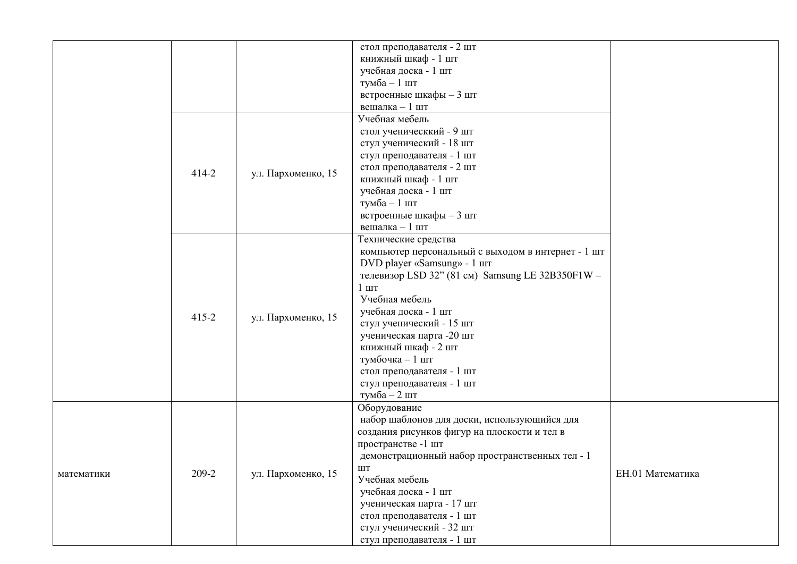|            |           |                    | стол преподавателя - 2 шт                          |                  |
|------------|-----------|--------------------|----------------------------------------------------|------------------|
|            |           |                    | книжный шкаф - 1 шт                                |                  |
|            |           |                    | учебная доска - 1 шт                               |                  |
|            |           |                    | тумба - 1 шт                                       |                  |
|            |           |                    | встроенные шкафы - 3 шт                            |                  |
|            |           |                    | вешалка - 1 шт                                     |                  |
|            |           |                    | Учебная мебель                                     |                  |
|            |           |                    | стол ученическкий - 9 шт                           |                  |
|            |           |                    | стул ученический - 18 шт                           |                  |
|            |           |                    | стул преподавателя - 1 шт                          |                  |
|            |           |                    | стол преподавателя - 2 шт                          |                  |
|            | 414-2     | ул. Пархоменко, 15 | книжный шкаф - 1 шт                                |                  |
|            |           |                    | учебная доска - 1 шт                               |                  |
|            |           |                    | тумба - 1 шт                                       |                  |
|            |           |                    | встроенные шкафы - 3 шт                            |                  |
|            |           |                    | вешалка $-1$ шт                                    |                  |
|            |           |                    | Технические средства                               |                  |
|            |           |                    | компьютер персональный с выходом в интернет - 1 шт |                  |
|            |           |                    | DVD player «Samsung» - 1 шт                        |                  |
|            | $415 - 2$ | ул. Пархоменко, 15 |                                                    |                  |
|            |           |                    | телевизор LSD 32" (81 см) Samsung LE 32B350F1W -   |                  |
|            |           |                    | $1 \text{ m}$                                      |                  |
|            |           |                    | Учебная мебель                                     |                  |
|            |           |                    | учебная доска - 1 шт                               |                  |
|            |           |                    | стул ученический - 15 шт                           |                  |
|            |           |                    | ученическая парта -20 шт                           |                  |
|            |           |                    | книжный шкаф - 2 шт                                |                  |
|            |           |                    | тумбочка - 1 шт                                    |                  |
|            |           |                    | стол преподавателя - 1 шт                          |                  |
|            |           |                    | стул преподавателя - 1 шт                          |                  |
|            |           |                    | тумба - 2 шт                                       |                  |
|            |           |                    | Оборудование                                       |                  |
|            |           |                    | набор шаблонов для доски, использующийся для       |                  |
|            |           |                    | создания рисунков фигур на плоскости и тел в       |                  |
|            |           |                    | пространстве -1 шт                                 |                  |
|            |           |                    |                                                    |                  |
|            |           |                    | демонстрационный набор пространственных тел - 1    |                  |
| математики | 209-2     | ул. Пархоменко, 15 | ШT                                                 | ЕН.01 Математика |
|            |           |                    | Учебная мебель                                     |                  |
|            |           |                    | учебная доска - 1 шт                               |                  |
|            |           |                    | ученическая парта - 17 шт                          |                  |
|            |           |                    | стол преподавателя - 1 шт                          |                  |
|            |           |                    | стул ученический - 32 шт                           |                  |
|            |           |                    | стул преподавателя - 1 шт                          |                  |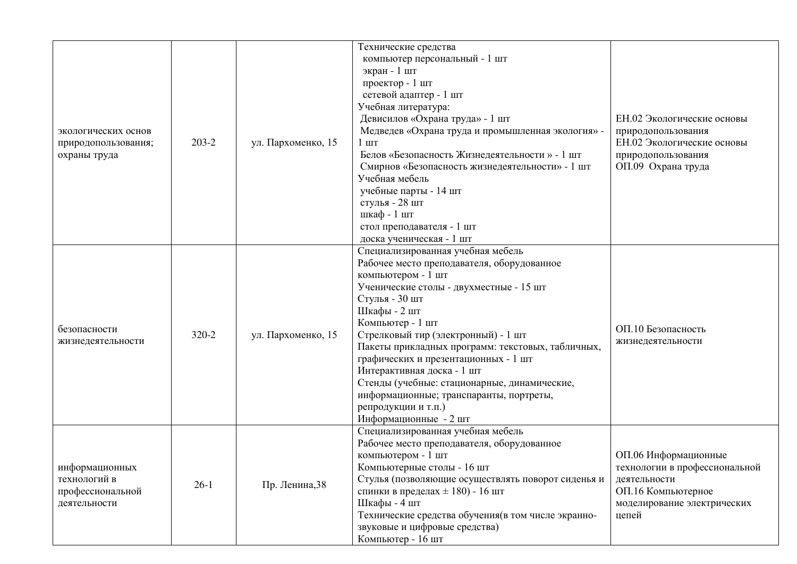| экологических основ<br>природопользования;<br>охраны труда         | $203 - 2$ | ул. Пархоменко, 15 | Технические средства<br>компьютер персональный - 1 шт<br>экран - 1 шт<br>проектор - 1 шт<br>сетевой адаптер - 1 шт<br>Учебная литература:<br>Девисилов «Охрана труда» - 1 шт<br>Медведев «Охрана труда и промышленная экология» -<br>$1 \text{ m}$<br>Белов «Безопасность Жизнедеятельности » - 1 шт<br>Смирнов «Безопасность жизнедеятельности» - 1 шт<br>Учебная мебель<br>учебные парты - 14 шт<br>стулья - 28 шт<br>шкаф - 1 шт<br>стол преподавателя - 1 шт<br>доска ученическая - 1 шт                        | ЕН.02 Экологические основы<br>природопользования<br>ЕН.02 Экологические основы<br>природопользования<br>ОП.09 Охрана труда          |
|--------------------------------------------------------------------|-----------|--------------------|---------------------------------------------------------------------------------------------------------------------------------------------------------------------------------------------------------------------------------------------------------------------------------------------------------------------------------------------------------------------------------------------------------------------------------------------------------------------------------------------------------------------|-------------------------------------------------------------------------------------------------------------------------------------|
| безопасности<br>жизнедеятельности                                  | 320-2     | ул. Пархоменко, 15 | Специализированная учебная мебель<br>Рабочее место преподавателя, оборудованное<br>компьютером - 1 шт<br>Ученические столы - двухместные - 15 шт<br>Стулья - 30 шт<br>Шкафы - 2 шт<br>Компьютер - 1 шт<br>Стрелковый тир (электронный) - 1 шт<br>Пакеты прикладных программ: текстовых, табличных,<br>графических и презентационных - 1 шт<br>Интерактивная доска - 1 шт<br>Стенды (учебные: стационарные, динамические,<br>информационные; транспаранты, портреты,<br>репродукции и т.п.)<br>Информационные - 2 шт | ОП.10 Безопасность<br>жизнедеятельности                                                                                             |
| информационных<br>технологий в<br>профессиональной<br>деятельности | $26-1$    | Пр. Ленина, 38     | Специализированная учебная мебель<br>Рабочее место преподавателя, оборудованное<br>компьютером - 1 шт<br>Компьютерные столы - 16 шт<br>Стулья (позволяющие осуществлять поворот сиденья и<br>спинки в пределах $\pm$ 180) - 16 шт<br>Шкафы - 4 шт<br>Технические средства обучения (в том числе экранно-<br>звуковые и цифровые средства)<br>Компьютер - 16 шт                                                                                                                                                      | ОП.06 Информационные<br>технологии в профессиональной<br>деятельности<br>ОП.16 Компьютерное<br>моделирование электрических<br>цепей |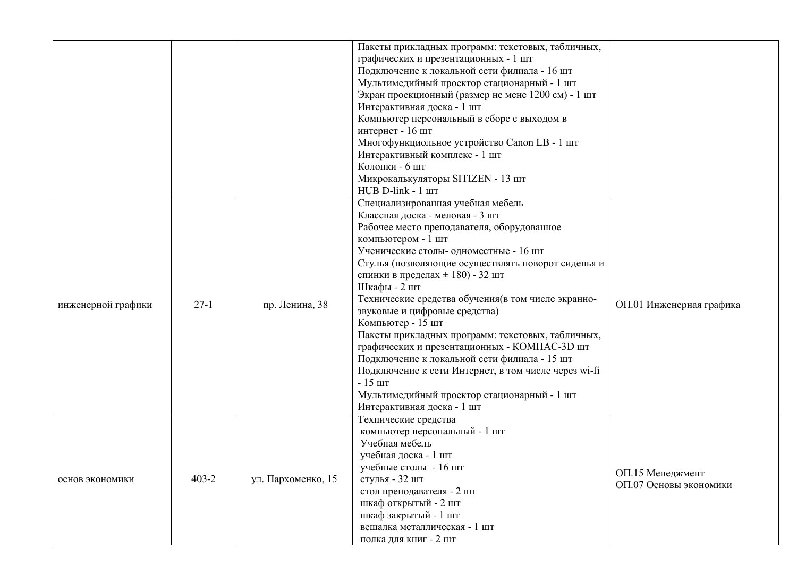|                    |           |                    | Пакеты прикладных программ: текстовых, табличных,<br>графических и презентационных - 1 шт<br>Подключение к локальной сети филиала - 16 шт<br>Мультимедийный проектор стационарный - 1 шт<br>Экран проекционный (размер не мене 1200 см) - 1 шт<br>Интерактивная доска - 1 шт<br>Компьютер персональный в сборе с выходом в<br>интернет - 16 шт<br>Многофункциольное устройство Canon LB - 1 шт<br>Интерактивный комплекс - 1 шт<br>Колонки - 6 шт<br>Микрокалькуляторы SITIZEN - 13 шт<br>HUB D-link - 1 шт                                                                                                                                                                         |                                            |
|--------------------|-----------|--------------------|-------------------------------------------------------------------------------------------------------------------------------------------------------------------------------------------------------------------------------------------------------------------------------------------------------------------------------------------------------------------------------------------------------------------------------------------------------------------------------------------------------------------------------------------------------------------------------------------------------------------------------------------------------------------------------------|--------------------------------------------|
|                    |           |                    | Специализированная учебная мебель                                                                                                                                                                                                                                                                                                                                                                                                                                                                                                                                                                                                                                                   |                                            |
| инженерной графики | $27-1$    | пр. Ленина, 38     | Классная доска - меловая - 3 шт<br>Рабочее место преподавателя, оборудованное<br>компьютером - 1 шт<br>Ученические столы- одноместные - 16 шт<br>Стулья (позволяющие осуществлять поворот сиденья и<br>спинки в пределах $\pm$ 180) - 32 шт<br>Шкафы - 2 шт<br>Технические средства обучения (в том числе экранно-<br>звуковые и цифровые средства)<br>Компьютер - 15 шт<br>Пакеты прикладных программ: текстовых, табличных,<br>графических и презентационных - КОМПАС-3D шт<br>Подключение к локальной сети филиала - 15 шт<br>Подключение к сети Интернет, в том числе через wi-fi<br>$-15$ $\mu$ T<br>Мультимедийный проектор стационарный - 1 шт<br>Интерактивная доска - 1 шт | ОП.01 Инженерная графика                   |
| основ экономики    | $403 - 2$ | ул. Пархоменко, 15 | Технические средства<br>компьютер персональный - 1 шт<br>Учебная мебель<br>учебная доска - 1 шт<br>учебные столы - 16 шт<br>стулья - 32 шт<br>стол преподавателя - 2 шт<br>шкаф открытый - 2 шт<br>шкаф закрытый - 1 шт<br>вешалка металлическая - 1 шт<br>полка для книг - 2 шт                                                                                                                                                                                                                                                                                                                                                                                                    | ОП.15 Менеджмент<br>ОП.07 Основы экономики |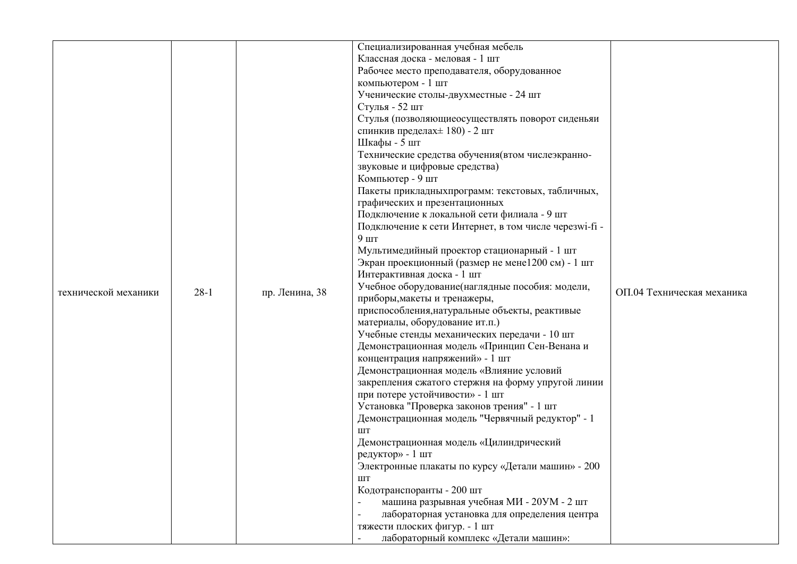|                      |                                                                                                                                                                                 |                                    | Специализированная учебная мебель                                                             |                            |
|----------------------|---------------------------------------------------------------------------------------------------------------------------------------------------------------------------------|------------------------------------|-----------------------------------------------------------------------------------------------|----------------------------|
|                      |                                                                                                                                                                                 |                                    | Классная доска - меловая - 1 шт                                                               |                            |
|                      |                                                                                                                                                                                 |                                    | Рабочее место преподавателя, оборудованное                                                    |                            |
|                      |                                                                                                                                                                                 |                                    | компьютером - 1 шт                                                                            |                            |
|                      |                                                                                                                                                                                 |                                    | Ученические столы-двухместные - 24 шт                                                         |                            |
|                      |                                                                                                                                                                                 |                                    | Стулья - 52 шт                                                                                |                            |
|                      |                                                                                                                                                                                 |                                    | Стулья (позволяющие осуществлять поворот сиденьяи                                             |                            |
|                      |                                                                                                                                                                                 | спинкив пределах $\pm$ 180) - 2 шт |                                                                                               |                            |
|                      |                                                                                                                                                                                 |                                    | Шкафы - 5 шт                                                                                  |                            |
|                      |                                                                                                                                                                                 |                                    | Технические средства обучения (втом числеэкранно-                                             |                            |
|                      | звуковые и цифровые средства)<br>Компьютер - 9 шт                                                                                                                               |                                    |                                                                                               |                            |
|                      |                                                                                                                                                                                 |                                    |                                                                                               |                            |
|                      |                                                                                                                                                                                 |                                    | Пакеты прикладныхпрограмм: текстовых, табличных,                                              |                            |
|                      |                                                                                                                                                                                 |                                    | графических и презентационных                                                                 |                            |
|                      |                                                                                                                                                                                 |                                    | Подключение к локальной сети филиала - 9 шт                                                   |                            |
|                      |                                                                                                                                                                                 |                                    | Подключение к сети Интернет, в том числе черезwi-fi -                                         |                            |
|                      |                                                                                                                                                                                 |                                    | $9 \text{ mT}$                                                                                |                            |
|                      |                                                                                                                                                                                 |                                    | Мультимедийный проектор стационарный - 1 шт                                                   |                            |
|                      |                                                                                                                                                                                 | Интерактивная доска - 1 шт         | Экран проекционный (размер не мене1200 см) - 1 шт                                             | ОП.04 Техническая механика |
|                      |                                                                                                                                                                                 |                                    |                                                                                               |                            |
| технической механики | $28-1$                                                                                                                                                                          | пр. Ленина, 38                     | Учебное оборудование(наглядные пособия: модели,                                               |                            |
|                      |                                                                                                                                                                                 |                                    | приборы, макеты и тренажеры,                                                                  |                            |
|                      |                                                                                                                                                                                 |                                    | приспособления, натуральные объекты, реактивые                                                |                            |
|                      |                                                                                                                                                                                 |                                    | материалы, оборудование ит.п.)                                                                |                            |
|                      |                                                                                                                                                                                 |                                    | Учебные стенды механических передачи - 10 шт<br>Демонстрационная модель «Принцип Сен-Венана и |                            |
|                      |                                                                                                                                                                                 |                                    | концентрация напряжений» - 1 шт                                                               |                            |
|                      | Демонстрационная модель «Влияние условий<br>закрепления сжатого стержня на форму упругой линии<br>при потере устойчивости» - 1 шт<br>Установка "Проверка законов трения" - 1 шт |                                    |                                                                                               |                            |
|                      |                                                                                                                                                                                 |                                    |                                                                                               |                            |
|                      |                                                                                                                                                                                 |                                    |                                                                                               |                            |
|                      |                                                                                                                                                                                 |                                    |                                                                                               |                            |
|                      |                                                                                                                                                                                 |                                    | Демонстрационная модель "Червячный редуктор" - 1                                              |                            |
|                      |                                                                                                                                                                                 |                                    | $\rm{LIT}$                                                                                    |                            |
|                      |                                                                                                                                                                                 |                                    | Демонстрационная модель «Цилиндрический                                                       |                            |
|                      |                                                                                                                                                                                 |                                    | редуктор» - 1 шт                                                                              |                            |
|                      |                                                                                                                                                                                 |                                    | Электронные плакаты по курсу «Детали машин» - 200                                             |                            |
|                      |                                                                                                                                                                                 |                                    | ШT                                                                                            |                            |
|                      |                                                                                                                                                                                 |                                    | Кодотранспоранты - 200 шт                                                                     |                            |
|                      |                                                                                                                                                                                 |                                    | машина разрывная учебная МИ - 20УМ - 2 шт                                                     |                            |
|                      |                                                                                                                                                                                 |                                    | лабораторная установка для определения центра                                                 |                            |
|                      |                                                                                                                                                                                 |                                    | тяжести плоских фигур. - 1 шт                                                                 |                            |
|                      |                                                                                                                                                                                 |                                    | лабораторный комплекс «Детали машин»:                                                         |                            |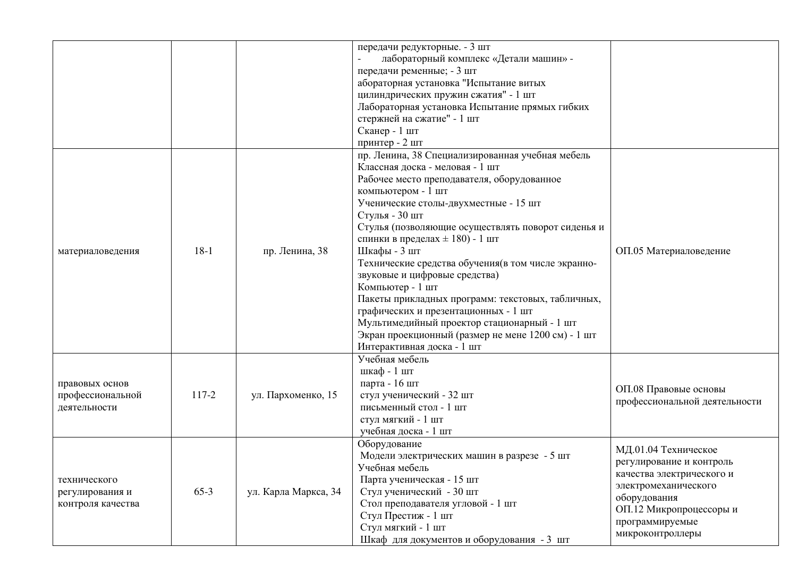|                                                      |        |                      | передачи редукторные. - 3 шт<br>лабораторный комплекс «Детали машин» -<br>передачи ременные; - 3 шт<br>абораторная установка "Испытание витых<br>цилиндрических пружин сжатия" - 1 шт<br>Лабораторная установка Испытание прямых гибких<br>стержней на сжатие" - 1 шт<br>Сканер - 1 шт<br>принтер - 2 шт                                                                                                                                                                                                                                                                                                                                                                    |                                                                                                                                                                                         |
|------------------------------------------------------|--------|----------------------|-----------------------------------------------------------------------------------------------------------------------------------------------------------------------------------------------------------------------------------------------------------------------------------------------------------------------------------------------------------------------------------------------------------------------------------------------------------------------------------------------------------------------------------------------------------------------------------------------------------------------------------------------------------------------------|-----------------------------------------------------------------------------------------------------------------------------------------------------------------------------------------|
| материаловедения                                     | $18-1$ | пр. Ленина, 38       | пр. Ленина, 38 Специализированная учебная мебель<br>Классная доска - меловая - 1 шт<br>Рабочее место преподавателя, оборудованное<br>компьютером - 1 шт<br>Ученические столы-двухместные - 15 шт<br>Стулья - 30 шт<br>Стулья (позволяющие осуществлять поворот сиденья и<br>спинки в пределах $\pm$ 180) - 1 шт<br>Шкафы - 3 шт<br>Технические средства обучения (в том числе экранно-<br>звуковые и цифровые средства)<br>Компьютер - 1 шт<br>Пакеты прикладных программ: текстовых, табличных,<br>графических и презентационных - 1 шт<br>Мультимедийный проектор стационарный - 1 шт<br>Экран проекционный (размер не мене 1200 см) - 1 шт<br>Интерактивная доска - 1 шт | ОП.05 Материаловедение                                                                                                                                                                  |
| правовых основ<br>профессиональной<br>деятельности   | 117-2  | ул. Пархоменко, 15   | Учебная мебель<br>шкаф - 1 шт<br>парта - 16 шт<br>стул ученический - 32 шт<br>письменный стол - 1 шт<br>стул мягкий - 1 шт<br>учебная доска - 1 шт                                                                                                                                                                                                                                                                                                                                                                                                                                                                                                                          | ОП.08 Правовые основы<br>профессиональной деятельности                                                                                                                                  |
| технического<br>регулирования и<br>контроля качества | $65-3$ | ул. Карла Маркса, 34 | Оборудование<br>Модели электрических машин в разрезе - 5 шт<br>Учебная мебель<br>Парта ученическая - 15 шт<br>Стул ученический - 30 шт<br>Стол преподавателя угловой - 1 шт<br>Стул Престиж - 1 шт<br>Стул мягкий - 1 шт<br>Шкаф для документов и оборудования - 3 шт                                                                                                                                                                                                                                                                                                                                                                                                       | МД.01.04 Техническое<br>регулирование и контроль<br>качества электрического и<br>электромеханического<br>оборудования<br>ОП.12 Микропроцессоры и<br>программируемые<br>микроконтроллеры |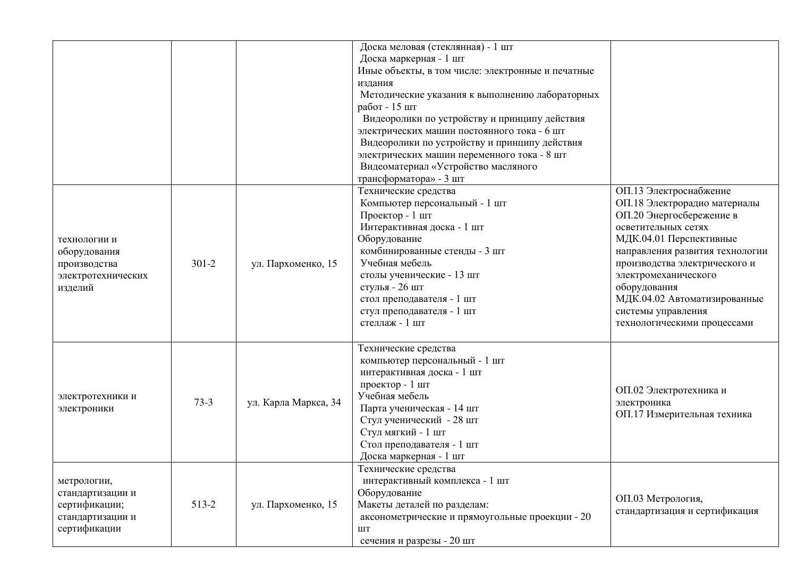|                                                                                      |           |                      | Доска меловая (стеклянная) - 1 шт<br>Доска маркерная - 1 шт<br>Иные объекты, в том числе: электронные и печатные<br>издания<br>Методические указания к выполнению лабораторных<br>работ - 15 шт<br>Видеоролики по устройству и принципу действия<br>электрических машин постоянного тока - 6 шт<br>Видеоролики по устройству и принципу действия<br>электрических машин переменного тока - 8 шт<br>Видеоматериал «Устройство масляного<br>трансформатора» - 3 шт |                                                                                                                                                                                                                                                                                                                                       |
|--------------------------------------------------------------------------------------|-----------|----------------------|------------------------------------------------------------------------------------------------------------------------------------------------------------------------------------------------------------------------------------------------------------------------------------------------------------------------------------------------------------------------------------------------------------------------------------------------------------------|---------------------------------------------------------------------------------------------------------------------------------------------------------------------------------------------------------------------------------------------------------------------------------------------------------------------------------------|
| технологии и<br>оборудования<br>производства<br>электротехнических<br>изделий        | $301 - 2$ | ул. Пархоменко, 15   | Технические средства<br>Компьютер персональный - 1 шт<br>Проектор - 1 шт<br>Интерактивная доска - 1 шт<br>Оборудование<br>комбинированные стенды - 3 шт<br>Учебная мебель<br>столы ученические - 13 шт<br>стулья - 26 шт<br>стол преподавателя - 1 шт<br>стул преподавателя - 1 шт<br>стеллаж - 1 шт                                                                                                                                                             | ОП.13 Электроснабжение<br>ОП.18 Электрорадио материалы<br>ОП.20 Энергосбережение в<br>осветительных сетях<br>МДК.04.01 Перспективные<br>направления развития технологии<br>производства электрического и<br>электромеханического<br>оборудования<br>МДК.04.02 Автоматизированные<br>системы управления<br>технологическими процессами |
| электротехники и<br>электроники                                                      | $73-3$    | ул. Карла Маркса, 34 | Технические средства<br>компьютер персональный - 1 шт<br>интерактивная доска - 1 шт<br>проектор - 1 шт<br>Учебная мебель<br>Парта ученическая - 14 шт<br>Стул ученический - 28 шт<br>Стул мягкий - 1 шт<br>Стол преподавателя - 1 шт<br>Доска маркерная - 1 шт                                                                                                                                                                                                   | ОП.02 Электротехника и<br>электроника<br>ОП.17 Измерительная техника                                                                                                                                                                                                                                                                  |
| метрологии,<br>стандартизации и<br>сертификации;<br>стандартизации и<br>сертификации | 513-2     | ул. Пархоменко, 15   | Технические средства<br>интерактивный комплекса - 1 шт<br>Оборудование<br>Макеты деталей по разделам:<br>аксонометрические и прямоугольные проекции - 20<br><b>IIIT</b><br>сечения и разрезы - 20 шт                                                                                                                                                                                                                                                             | ОП.03 Метрология,<br>стандартизация и сертификация                                                                                                                                                                                                                                                                                    |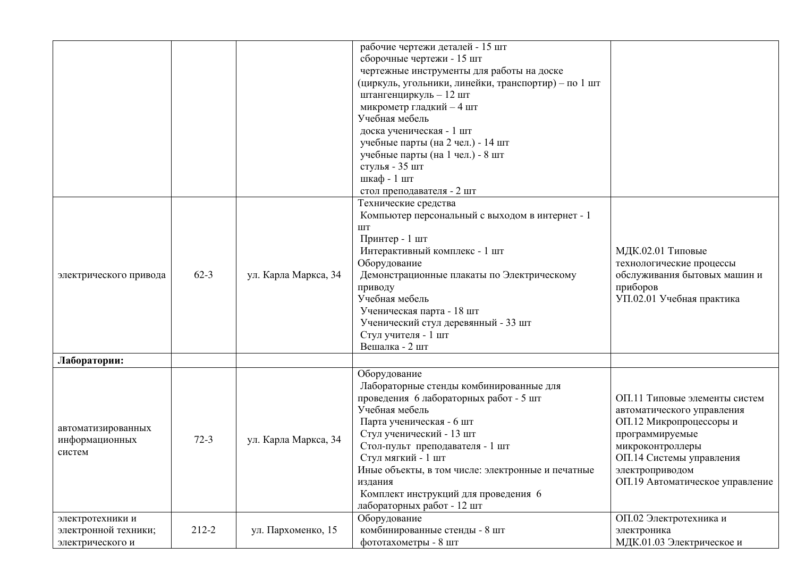|                                                              |           |                      | рабочие чертежи деталей - 15 шт<br>сборочные чертежи - 15 шт<br>чертежные инструменты для работы на доске<br>(циркуль, угольники, линейки, транспортир) - по 1 шт<br>штангенциркуль - 12 шт<br>микрометр гладкий - 4 шт<br>Учебная мебель<br>доска ученическая - 1 шт<br>учебные парты (на 2 чел.) - 14 шт<br>учебные парты (на 1 чел.) - 8 шт<br>стулья - 35 шт<br>шкаф - 1 шт |                                                                                                                                                                                                                 |
|--------------------------------------------------------------|-----------|----------------------|---------------------------------------------------------------------------------------------------------------------------------------------------------------------------------------------------------------------------------------------------------------------------------------------------------------------------------------------------------------------------------|-----------------------------------------------------------------------------------------------------------------------------------------------------------------------------------------------------------------|
| электрического привода                                       | $62 - 3$  | ул. Карла Маркса, 34 | стол преподавателя - 2 шт<br>Технические средства<br>Компьютер персональный с выходом в интернет - 1<br>$\rm{LIT}$<br>Принтер - 1 шт<br>Интерактивный комплекс - 1 шт<br>Оборудование<br>Демонстрационные плакаты по Электрическому<br>приводу<br>Учебная мебель<br>Ученическая парта - 18 шт<br>Ученический стул деревянный - 33 шт<br>Стул учителя - 1 шт<br>Вешалка - 2 шт   | МДК.02.01 Типовые<br>технологические процессы<br>обслуживания бытовых машин и<br>приборов<br>УП.02.01 Учебная практика                                                                                          |
| Лаборатории:                                                 |           |                      |                                                                                                                                                                                                                                                                                                                                                                                 |                                                                                                                                                                                                                 |
| автоматизированных<br>информационных<br>систем               | $72-3$    | ул. Карла Маркса, 34 | Оборудование<br>Лабораторные стенды комбинированные для<br>проведения 6 лабораторных работ - 5 шт<br>Учебная мебель<br>Парта ученическая - 6 шт<br>Стул ученический - 13 шт<br>Стол-пульт преподавателя - 1 шт<br>Стул мягкий - 1 шт<br>Иные объекты, в том числе: электронные и печатные<br>издания<br>Комплект инструкций для проведения 6<br>лабораторных работ - 12 шт      | ОП.11 Типовые элементы систем<br>автоматического управления<br>ОП.12 Микропроцессоры и<br>программируемые<br>микроконтроллеры<br>ОП.14 Системы управления<br>электроприводом<br>ОП.19 Автоматическое управление |
| электротехники и<br>электронной техники;<br>электрического и | $212 - 2$ | ул. Пархоменко, 15   | Оборудование<br>комбинированные стенды - 8 шт<br>фототахометры - 8 шт                                                                                                                                                                                                                                                                                                           | ОП.02 Электротехника и<br>электроника<br>МДК.01.03 Электрическое и                                                                                                                                              |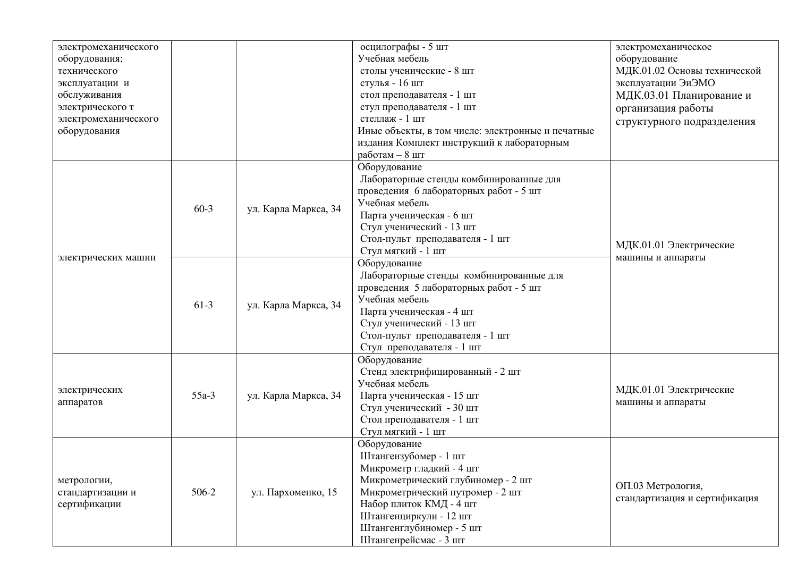| электромеханического |         |                                |                                                                                                                                                                                                                                                                                                                                                                                                                                                                                                                                                                                                                                                                                                                                                                                                                                                                                                                                                                                                                                                                                                                                                                                                                                                                                                                                                                                                                                                                                   |  |
|----------------------|---------|--------------------------------|-----------------------------------------------------------------------------------------------------------------------------------------------------------------------------------------------------------------------------------------------------------------------------------------------------------------------------------------------------------------------------------------------------------------------------------------------------------------------------------------------------------------------------------------------------------------------------------------------------------------------------------------------------------------------------------------------------------------------------------------------------------------------------------------------------------------------------------------------------------------------------------------------------------------------------------------------------------------------------------------------------------------------------------------------------------------------------------------------------------------------------------------------------------------------------------------------------------------------------------------------------------------------------------------------------------------------------------------------------------------------------------------------------------------------------------------------------------------------------------|--|
| оборудования;        |         |                                | Учебная мебель                                                                                                                                                                                                                                                                                                                                                                                                                                                                                                                                                                                                                                                                                                                                                                                                                                                                                                                                                                                                                                                                                                                                                                                                                                                                                                                                                                                                                                                                    |  |
| технического         |         |                                |                                                                                                                                                                                                                                                                                                                                                                                                                                                                                                                                                                                                                                                                                                                                                                                                                                                                                                                                                                                                                                                                                                                                                                                                                                                                                                                                                                                                                                                                                   |  |
| эксплуатации и       |         |                                |                                                                                                                                                                                                                                                                                                                                                                                                                                                                                                                                                                                                                                                                                                                                                                                                                                                                                                                                                                                                                                                                                                                                                                                                                                                                                                                                                                                                                                                                                   |  |
| обслуживания         |         |                                |                                                                                                                                                                                                                                                                                                                                                                                                                                                                                                                                                                                                                                                                                                                                                                                                                                                                                                                                                                                                                                                                                                                                                                                                                                                                                                                                                                                                                                                                                   |  |
| электрического т     |         |                                |                                                                                                                                                                                                                                                                                                                                                                                                                                                                                                                                                                                                                                                                                                                                                                                                                                                                                                                                                                                                                                                                                                                                                                                                                                                                                                                                                                                                                                                                                   |  |
| электромеханического |         |                                |                                                                                                                                                                                                                                                                                                                                                                                                                                                                                                                                                                                                                                                                                                                                                                                                                                                                                                                                                                                                                                                                                                                                                                                                                                                                                                                                                                                                                                                                                   |  |
| оборудования         |         |                                |                                                                                                                                                                                                                                                                                                                                                                                                                                                                                                                                                                                                                                                                                                                                                                                                                                                                                                                                                                                                                                                                                                                                                                                                                                                                                                                                                                                                                                                                                   |  |
|                      |         |                                |                                                                                                                                                                                                                                                                                                                                                                                                                                                                                                                                                                                                                                                                                                                                                                                                                                                                                                                                                                                                                                                                                                                                                                                                                                                                                                                                                                                                                                                                                   |  |
|                      |         |                                |                                                                                                                                                                                                                                                                                                                                                                                                                                                                                                                                                                                                                                                                                                                                                                                                                                                                                                                                                                                                                                                                                                                                                                                                                                                                                                                                                                                                                                                                                   |  |
|                      |         |                                |                                                                                                                                                                                                                                                                                                                                                                                                                                                                                                                                                                                                                                                                                                                                                                                                                                                                                                                                                                                                                                                                                                                                                                                                                                                                                                                                                                                                                                                                                   |  |
|                      |         |                                |                                                                                                                                                                                                                                                                                                                                                                                                                                                                                                                                                                                                                                                                                                                                                                                                                                                                                                                                                                                                                                                                                                                                                                                                                                                                                                                                                                                                                                                                                   |  |
|                      |         |                                |                                                                                                                                                                                                                                                                                                                                                                                                                                                                                                                                                                                                                                                                                                                                                                                                                                                                                                                                                                                                                                                                                                                                                                                                                                                                                                                                                                                                                                                                                   |  |
|                      |         |                                | осцилографы - 5 шт<br>электромеханическое<br>оборудование<br>столы ученические - 8 шт<br>МДК.01.02 Основы технической<br>стулья - 16 шт<br>эксплуатации ЭиЭМО<br>стол преподавателя - 1 шт<br>МДК.03.01 Планирование и<br>стул преподавателя - 1 шт<br>организация работы<br>стеллаж - 1 шт<br>структурного подразделения<br>Иные объекты, в том числе: электронные и печатные<br>издания Комплект инструкций к лабораторным<br>работам - 8 шт<br>Оборудование<br>Лабораторные стенды комбинированные для<br>проведения 6 лабораторных работ - 5 шт<br>Учебная мебель<br>Парта ученическая - 6 шт<br>Стул ученический - 13 шт<br>Стол-пульт преподавателя - 1 шт<br>МДК.01.01 Электрические<br>Стул мягкий - 1 шт<br>машины и аппараты<br>Оборудование<br>Лабораторные стенды комбинированные для<br>проведения 5 лабораторных работ - 5 шт<br>Учебная мебель<br>Парта ученическая - 4 шт<br>Стул ученический - 13 шт<br>Стол-пульт преподавателя - 1 шт<br>Стул преподавателя - 1 шт<br>Оборудование<br>Стенд электрифицированный - 2 шт<br>Учебная мебель<br>МДК.01.01 Электрические<br>Парта ученическая - 15 шт<br>машины и аппараты<br>Стул ученический - 30 шт<br>Стол преподавателя - 1 шт<br>Стул мягкий - 1 шт<br>Оборудование<br>Штангензубомер - 1 шт<br>Микрометр гладкий - 4 шт<br>Микрометрический глубиномер - 2 шт<br>ОП.03 Метрология,<br>Микрометрический нутромер - 2 шт<br>стандартизация и сертификация<br>Набор плиток КМД - 4 шт<br>Штангенциркули - 12 шт |  |
|                      | $60-3$  | ул. Карла Маркса, 34           |                                                                                                                                                                                                                                                                                                                                                                                                                                                                                                                                                                                                                                                                                                                                                                                                                                                                                                                                                                                                                                                                                                                                                                                                                                                                                                                                                                                                                                                                                   |  |
|                      |         |                                |                                                                                                                                                                                                                                                                                                                                                                                                                                                                                                                                                                                                                                                                                                                                                                                                                                                                                                                                                                                                                                                                                                                                                                                                                                                                                                                                                                                                                                                                                   |  |
|                      |         |                                |                                                                                                                                                                                                                                                                                                                                                                                                                                                                                                                                                                                                                                                                                                                                                                                                                                                                                                                                                                                                                                                                                                                                                                                                                                                                                                                                                                                                                                                                                   |  |
|                      |         |                                |                                                                                                                                                                                                                                                                                                                                                                                                                                                                                                                                                                                                                                                                                                                                                                                                                                                                                                                                                                                                                                                                                                                                                                                                                                                                                                                                                                                                                                                                                   |  |
| электрических машин  |         |                                |                                                                                                                                                                                                                                                                                                                                                                                                                                                                                                                                                                                                                                                                                                                                                                                                                                                                                                                                                                                                                                                                                                                                                                                                                                                                                                                                                                                                                                                                                   |  |
|                      |         | $61-3$<br>ул. Карла Маркса, 34 |                                                                                                                                                                                                                                                                                                                                                                                                                                                                                                                                                                                                                                                                                                                                                                                                                                                                                                                                                                                                                                                                                                                                                                                                                                                                                                                                                                                                                                                                                   |  |
|                      |         |                                |                                                                                                                                                                                                                                                                                                                                                                                                                                                                                                                                                                                                                                                                                                                                                                                                                                                                                                                                                                                                                                                                                                                                                                                                                                                                                                                                                                                                                                                                                   |  |
|                      |         |                                |                                                                                                                                                                                                                                                                                                                                                                                                                                                                                                                                                                                                                                                                                                                                                                                                                                                                                                                                                                                                                                                                                                                                                                                                                                                                                                                                                                                                                                                                                   |  |
|                      |         |                                |                                                                                                                                                                                                                                                                                                                                                                                                                                                                                                                                                                                                                                                                                                                                                                                                                                                                                                                                                                                                                                                                                                                                                                                                                                                                                                                                                                                                                                                                                   |  |
|                      |         |                                |                                                                                                                                                                                                                                                                                                                                                                                                                                                                                                                                                                                                                                                                                                                                                                                                                                                                                                                                                                                                                                                                                                                                                                                                                                                                                                                                                                                                                                                                                   |  |
|                      |         |                                |                                                                                                                                                                                                                                                                                                                                                                                                                                                                                                                                                                                                                                                                                                                                                                                                                                                                                                                                                                                                                                                                                                                                                                                                                                                                                                                                                                                                                                                                                   |  |
|                      |         |                                |                                                                                                                                                                                                                                                                                                                                                                                                                                                                                                                                                                                                                                                                                                                                                                                                                                                                                                                                                                                                                                                                                                                                                                                                                                                                                                                                                                                                                                                                                   |  |
|                      |         |                                |                                                                                                                                                                                                                                                                                                                                                                                                                                                                                                                                                                                                                                                                                                                                                                                                                                                                                                                                                                                                                                                                                                                                                                                                                                                                                                                                                                                                                                                                                   |  |
|                      |         |                                |                                                                                                                                                                                                                                                                                                                                                                                                                                                                                                                                                                                                                                                                                                                                                                                                                                                                                                                                                                                                                                                                                                                                                                                                                                                                                                                                                                                                                                                                                   |  |
|                      |         |                                |                                                                                                                                                                                                                                                                                                                                                                                                                                                                                                                                                                                                                                                                                                                                                                                                                                                                                                                                                                                                                                                                                                                                                                                                                                                                                                                                                                                                                                                                                   |  |
| электрических        |         |                                |                                                                                                                                                                                                                                                                                                                                                                                                                                                                                                                                                                                                                                                                                                                                                                                                                                                                                                                                                                                                                                                                                                                                                                                                                                                                                                                                                                                                                                                                                   |  |
| аппаратов            | $55a-3$ | ул. Карла Маркса, 34           |                                                                                                                                                                                                                                                                                                                                                                                                                                                                                                                                                                                                                                                                                                                                                                                                                                                                                                                                                                                                                                                                                                                                                                                                                                                                                                                                                                                                                                                                                   |  |
|                      |         |                                |                                                                                                                                                                                                                                                                                                                                                                                                                                                                                                                                                                                                                                                                                                                                                                                                                                                                                                                                                                                                                                                                                                                                                                                                                                                                                                                                                                                                                                                                                   |  |
|                      |         |                                |                                                                                                                                                                                                                                                                                                                                                                                                                                                                                                                                                                                                                                                                                                                                                                                                                                                                                                                                                                                                                                                                                                                                                                                                                                                                                                                                                                                                                                                                                   |  |
|                      |         |                                |                                                                                                                                                                                                                                                                                                                                                                                                                                                                                                                                                                                                                                                                                                                                                                                                                                                                                                                                                                                                                                                                                                                                                                                                                                                                                                                                                                                                                                                                                   |  |
|                      |         |                                |                                                                                                                                                                                                                                                                                                                                                                                                                                                                                                                                                                                                                                                                                                                                                                                                                                                                                                                                                                                                                                                                                                                                                                                                                                                                                                                                                                                                                                                                                   |  |
|                      |         |                                |                                                                                                                                                                                                                                                                                                                                                                                                                                                                                                                                                                                                                                                                                                                                                                                                                                                                                                                                                                                                                                                                                                                                                                                                                                                                                                                                                                                                                                                                                   |  |
|                      |         |                                |                                                                                                                                                                                                                                                                                                                                                                                                                                                                                                                                                                                                                                                                                                                                                                                                                                                                                                                                                                                                                                                                                                                                                                                                                                                                                                                                                                                                                                                                                   |  |
| метрологии,          |         |                                |                                                                                                                                                                                                                                                                                                                                                                                                                                                                                                                                                                                                                                                                                                                                                                                                                                                                                                                                                                                                                                                                                                                                                                                                                                                                                                                                                                                                                                                                                   |  |
| стандартизации и     | 506-2   | ул. Пархоменко, 15             |                                                                                                                                                                                                                                                                                                                                                                                                                                                                                                                                                                                                                                                                                                                                                                                                                                                                                                                                                                                                                                                                                                                                                                                                                                                                                                                                                                                                                                                                                   |  |
| сертификации         |         |                                |                                                                                                                                                                                                                                                                                                                                                                                                                                                                                                                                                                                                                                                                                                                                                                                                                                                                                                                                                                                                                                                                                                                                                                                                                                                                                                                                                                                                                                                                                   |  |
|                      |         |                                |                                                                                                                                                                                                                                                                                                                                                                                                                                                                                                                                                                                                                                                                                                                                                                                                                                                                                                                                                                                                                                                                                                                                                                                                                                                                                                                                                                                                                                                                                   |  |
|                      |         |                                | Штангенглубиномер - 5 шт                                                                                                                                                                                                                                                                                                                                                                                                                                                                                                                                                                                                                                                                                                                                                                                                                                                                                                                                                                                                                                                                                                                                                                                                                                                                                                                                                                                                                                                          |  |
|                      |         |                                | Штангенрейсмас - 3 шт                                                                                                                                                                                                                                                                                                                                                                                                                                                                                                                                                                                                                                                                                                                                                                                                                                                                                                                                                                                                                                                                                                                                                                                                                                                                                                                                                                                                                                                             |  |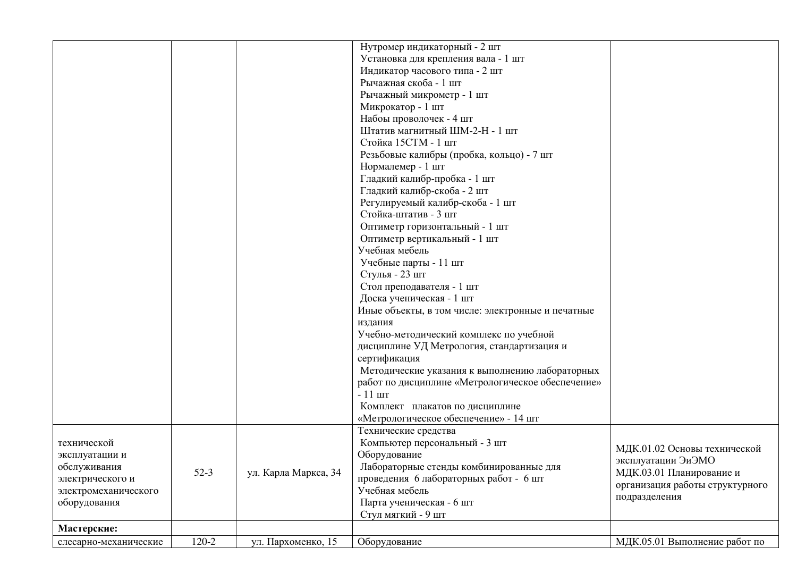|                       |        |                      | Нутромер индикаторный - 2 шт                      |                                 |
|-----------------------|--------|----------------------|---------------------------------------------------|---------------------------------|
|                       |        |                      | Установка для крепления вала - 1 шт               |                                 |
|                       |        |                      | Индикатор часового типа - 2 шт                    |                                 |
|                       |        |                      | Рычажная скоба - 1 шт                             |                                 |
|                       |        |                      | Рычажный микрометр - 1 шт                         |                                 |
|                       |        |                      | Микрокатор - 1 шт                                 |                                 |
|                       |        |                      | Набоы проволочек - 4 шт                           |                                 |
|                       |        |                      | Штатив магнитный ШМ-2-Н - 1 шт                    |                                 |
|                       |        |                      | Стойка 15СТМ - 1 шт                               |                                 |
|                       |        |                      | Резьбовые калибры (пробка, кольцо) - 7 шт         |                                 |
|                       |        |                      | Нормалемер - 1 шт                                 |                                 |
|                       |        |                      | Гладкий калибр-пробка - 1 шт                      |                                 |
|                       |        |                      | Гладкий калибр-скоба - 2 шт                       |                                 |
|                       |        |                      | Регулируемый калибр-скоба - 1 шт                  |                                 |
|                       |        |                      | Стойка-штатив - 3 шт                              |                                 |
|                       |        |                      | Оптиметр горизонтальный - 1 шт                    |                                 |
|                       |        |                      | Оптиметр вертикальный - 1 шт                      |                                 |
|                       |        |                      | Учебная мебель                                    |                                 |
|                       |        |                      | Учебные парты - 11 шт                             |                                 |
|                       |        |                      | Стулья - 23 шт                                    |                                 |
|                       |        |                      | Стол преподавателя - 1 шт                         |                                 |
|                       |        |                      | Доска ученическая - 1 шт                          |                                 |
|                       |        |                      | Иные объекты, в том числе: электронные и печатные |                                 |
|                       |        |                      | издания                                           |                                 |
|                       |        |                      | Учебно-методический комплекс по учебной           |                                 |
|                       |        |                      | дисциплине УД Метрология, стандартизация и        |                                 |
|                       |        |                      | сертификация                                      |                                 |
|                       |        |                      | Методические указания к выполнению лабораторных   |                                 |
|                       |        |                      | работ по дисциплине «Метрологическое обеспечение» |                                 |
|                       |        |                      | $-11$ $\text{III}$                                |                                 |
|                       |        |                      | Комплект плакатов по дисциплине                   |                                 |
|                       |        |                      | «Метрологическое обеспечение» - 14 шт             |                                 |
|                       |        |                      | Технические средства                              |                                 |
| технической           |        |                      | Компьютер персональный - 3 шт                     |                                 |
| эксплуатации и        |        |                      | Оборудование                                      | МДК.01.02 Основы технической    |
| обслуживания          |        |                      | Лабораторные стенды комбинированные для           | эксплуатации ЭиЭМО              |
| электрического и      | $52-3$ | ул. Карла Маркса, 34 | проведения 6 лабораторных работ - 6 шт            | МДК.03.01 Планирование и        |
| электромеханического  |        |                      | Учебная мебель                                    | организация работы структурного |
| оборудования          |        |                      | Парта ученическая - 6 шт                          | подразделения                   |
|                       |        |                      | Стул мягкий - 9 шт                                |                                 |
|                       |        |                      |                                                   |                                 |
| Мастерские:           |        |                      |                                                   |                                 |
| слесарно-механические | 120-2  | ул. Пархоменко, 15   | Оборудование                                      | МДК.05.01 Выполнение работ по   |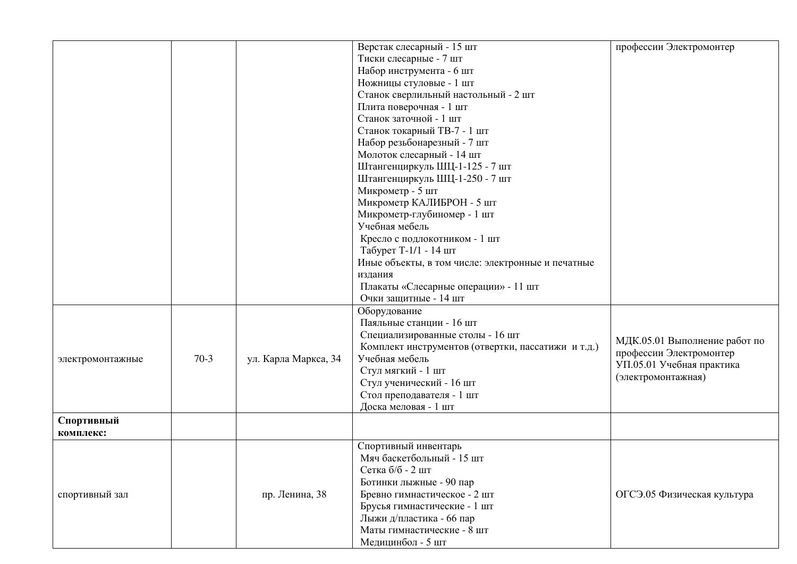|                  |        |                      | Верстак слесарный - 15 шт                          | профессии Электромонтер       |
|------------------|--------|----------------------|----------------------------------------------------|-------------------------------|
|                  |        |                      | Тиски слесарные - 7 шт                             |                               |
|                  |        |                      | Набор инструмента - 6 шт                           |                               |
|                  |        |                      | Ножницы стуловые - 1 шт                            |                               |
|                  |        |                      | Станок сверлильный настольный - 2 шт               |                               |
|                  |        |                      | Плита поверочная - 1 шт                            |                               |
|                  |        |                      | Станок заточной - 1 шт                             |                               |
|                  |        |                      | Станок токарный ТВ-7 - 1 шт                        |                               |
|                  |        |                      | Набор резьбонарезный - 7 шт                        |                               |
|                  |        |                      | Молоток слесарный - 14 шт                          |                               |
|                  |        |                      | Штангенциркуль ШЦ-1-125 - 7 шт                     |                               |
|                  |        |                      | Штангенциркуль ШЦ-1-250 - 7 шт                     |                               |
|                  |        |                      | Микрометр - 5 шт                                   |                               |
|                  |        |                      | Микрометр КАЛИБРОН - 5 шт                          |                               |
|                  |        |                      | Микрометр-глубиномер - 1 шт                        |                               |
|                  |        |                      | Учебная мебель                                     |                               |
|                  |        |                      | Кресло с подлокотником - 1 шт                      |                               |
|                  |        |                      | Табурет Т-1/1 - 14 шт                              |                               |
|                  |        |                      | Иные объекты, в том числе: электронные и печатные  |                               |
|                  |        |                      | издания                                            |                               |
|                  |        |                      | Плакаты «Слесарные операции» - 11 шт               |                               |
|                  |        |                      | Очки защитные - 14 шт                              |                               |
|                  |        |                      | Оборудование                                       |                               |
|                  |        |                      | Паяльные станции - 16 шт                           |                               |
|                  |        |                      | Специализированные столы - 16 шт                   |                               |
|                  |        |                      | Комплект инструментов (отвертки, пассатижи и т.д.) | МДК.05.01 Выполнение работ по |
| электромонтажные | $70-3$ | ул. Карла Маркса, 34 | Учебная мебель                                     | профессии Электромонтер       |
|                  |        |                      | Стул мягкий - 1 шт                                 | УП.05.01 Учебная практика     |
|                  |        |                      | Стул ученический - 16 шт                           | (электромонтажная)            |
|                  |        |                      | Стол преподавателя - 1 шт                          |                               |
|                  |        |                      | Доска меловая - 1 шт                               |                               |
| Спортивный       |        |                      |                                                    |                               |
| комплекс:        |        |                      |                                                    |                               |
|                  |        |                      | Спортивный инвентарь                               |                               |
|                  |        |                      | Мяч баскетбольный - 15 шт                          |                               |
|                  |        |                      | Сетка б/б - 2 шт                                   |                               |
|                  |        |                      | Ботинки лыжные - 90 пар                            |                               |
| спортивный зал   |        | пр. Ленина, 38       | Бревно гимнастическое - 2 шт                       | ОГСЭ.05 Физическая культура   |
|                  |        |                      | Брусья гимнастические - 1 шт                       |                               |
|                  |        |                      | Лыжи д/пластика - 66 пар                           |                               |
|                  |        |                      | Маты гимнастические - 8 шт                         |                               |
|                  |        |                      | Медицинбол - 5 шт                                  |                               |
|                  |        |                      |                                                    |                               |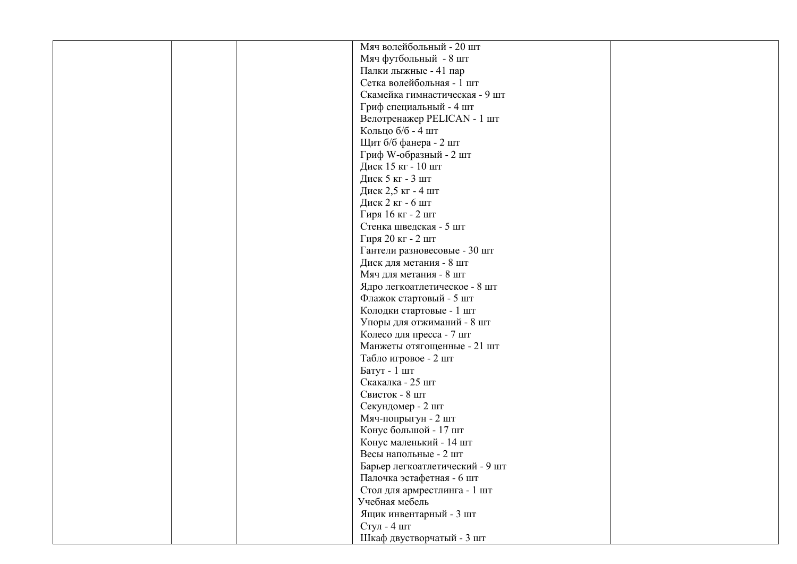|  | Мяч волейбольный - 20 шт        |  |
|--|---------------------------------|--|
|  | Мяч футбольный - 8 шт           |  |
|  | Палки лыжные - 41 пар           |  |
|  | Сетка волейбольная - 1 шт       |  |
|  | Скамейка гимнастическая - 9 шт  |  |
|  | Гриф специальный - 4 шт         |  |
|  | Велотренажер PELICAN - 1 шт     |  |
|  | Кольцо б/б - 4 шт               |  |
|  | Щит б/б фанера - 2 шт           |  |
|  | Гриф W-образный - 2 шт          |  |
|  | Диск 15 кг - 10 шт              |  |
|  | Диск 5 кг - 3 шт                |  |
|  | Диск 2,5 кг - 4 шт              |  |
|  | Диск 2 кг - 6 шт                |  |
|  |                                 |  |
|  | Гиря 16 кг - 2 шт               |  |
|  | Стенка шведская - 5 шт          |  |
|  | Гиря 20 кг - 2 шт               |  |
|  | Гантели разновесовые - 30 шт    |  |
|  | Диск для метания - 8 шт         |  |
|  | Мяч для метания - 8 шт          |  |
|  | Ядро легкоатлетическое - 8 шт   |  |
|  | Флажок стартовый - 5 шт         |  |
|  | Колодки стартовые - 1 шт        |  |
|  | Упоры для отжиманий - 8 шт      |  |
|  | Колесо для пресса - 7 шт        |  |
|  | Манжеты отягощенные - 21 шт     |  |
|  | Табло игровое - 2 шт            |  |
|  | Батут - 1 шт                    |  |
|  | Скакалка - 25 шт                |  |
|  | Свисток - 8 шт                  |  |
|  | Секундомер - 2 шт               |  |
|  | Мяч-попрыгун - 2 шт             |  |
|  | Конус большой - 17 шт           |  |
|  | Конус маленький - 14 шт         |  |
|  | Весы напольные - 2 шт           |  |
|  | Барьер легкоатлетический - 9 шт |  |
|  | Палочка эстафетная - 6 шт       |  |
|  | Стол для армрестлинга - 1 шт    |  |
|  | Учебная мебель                  |  |
|  | Ящик инвентарный - 3 шт         |  |
|  | Стул - 4 шт                     |  |
|  | Шкаф двустворчатый - 3 шт       |  |